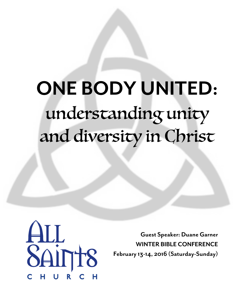# ONE BODY UNITED: understanding unity and diversity in Christ



Guest Speaker: Duane Garner WINTER BIBLE CONFERENCE February 13-14, 2016 (Saturday-Sunday)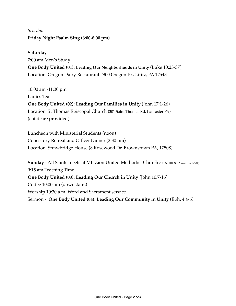## *Schedule* **Friday Night Psalm Sing (6:00-8:00 pm)**

#### **Saturday**

7:00 am Men's Study **One Body United (01): Leading Our Neighborhoods in Unity (**Luke 10:25-37) Location: Oregon Dairy Restaurant 2900 Oregon Pk, Lititz, PA 17543

10:00 am -11:30 pm Ladies Tea **One Body United (02): Leading Our Families in Unity** (John 17:1-26) Location: St Thomas Episcopal Church (301 Saint Thomas Rd, Lancaster PA) (childcare provided)

Luncheon with Ministerial Students (noon) Consistory Retreat and Officer Dinner (2:30 pm) Location: Strawbridge House (8 Rosewood Dr. Brownstown PA, 17508)

**Sunday** - All Saints meets at Mt. Zion United Methodist Church (105 N. 11th St., Akron, PA 17501) 9:15 am Teaching Time **One Body United (03): Leading Our Church in Unity** (John 10:7-16) Coffee 10:00 am (downstairs) Worship 10:30 a.m. Word and Sacrament service Sermon - **One Body United (04): Leading Our Community in Unity** (Eph. 4:4-6)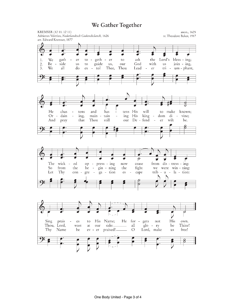### We Gather Together